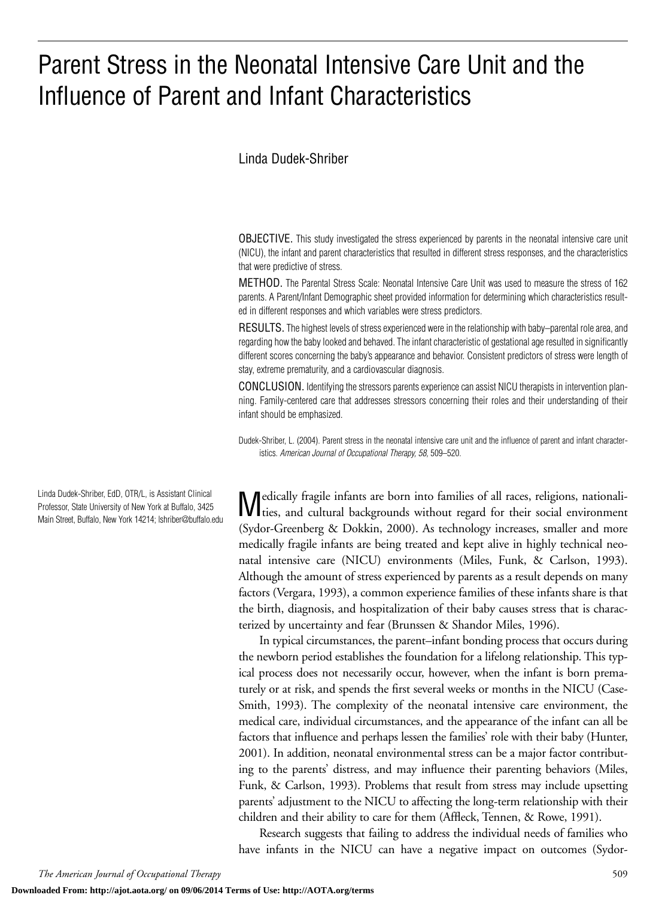# Parent Stress in the Neonatal Intensive Care Unit and the Influence of Parent and Infant Characteristics

## Linda Dudek-Shriber

OBJECTIVE. This study investigated the stress experienced by parents in the neonatal intensive care unit (NICU), the infant and parent characteristics that resulted in different stress responses, and the characteristics that were predictive of stress.

METHOD. The Parental Stress Scale: Neonatal Intensive Care Unit was used to measure the stress of 162 parents. A Parent/Infant Demographic sheet provided information for determining which characteristics resulted in different responses and which variables were stress predictors.

RESULTS. The highest levels of stress experienced were in the relationship with baby–parental role area, and regarding how the baby looked and behaved. The infant characteristic of gestational age resulted in significantly different scores concerning the baby's appearance and behavior. Consistent predictors of stress were length of stay, extreme prematurity, and a cardiovascular diagnosis.

CONCLUSION. Identifying the stressors parents experience can assist NICU therapists in intervention planning. Family-centered care that addresses stressors concerning their roles and their understanding of their infant should be emphasized.

Dudek-Shriber, L. (2004). Parent stress in the neonatal intensive care unit and the influence of parent and infant characteristics. *American Journal of Occupational Therapy, 58,* 509–520.

Medically fragile infants are born into families of all races, religions, nationali-ties, and cultural backgrounds without regard for their social environment (Sydor-Greenberg & Dokkin, 2000). As technology increases, smaller and more medically fragile infants are being treated and kept alive in highly technical neonatal intensive care (NICU) environments (Miles, Funk, & Carlson, 1993). Although the amount of stress experienced by parents as a result depends on many factors (Vergara, 1993), a common experience families of these infants share is that the birth, diagnosis, and hospitalization of their baby causes stress that is characterized by uncertainty and fear (Brunssen & Shandor Miles, 1996).

In typical circumstances, the parent–infant bonding process that occurs during the newborn period establishes the foundation for a lifelong relationship. This typical process does not necessarily occur, however, when the infant is born prematurely or at risk, and spends the first several weeks or months in the NICU (Case-Smith, 1993). The complexity of the neonatal intensive care environment, the medical care, individual circumstances, and the appearance of the infant can all be factors that influence and perhaps lessen the families' role with their baby (Hunter, 2001). In addition, neonatal environmental stress can be a major factor contributing to the parents' distress, and may influence their parenting behaviors (Miles, Funk, & Carlson, 1993). Problems that result from stress may include upsetting parents' adjustment to the NICU to affecting the long-term relationship with their children and their ability to care for them (Affleck, Tennen, & Rowe, 1991).

Research suggests that failing to address the individual needs of families who have infants in the NICU can have a negative impact on outcomes (Sydor-

Linda Dudek-Shriber, EdD, OTR/L, is Assistant Clinical Professor, State University of New York at Buffalo, 3425 Main Street, Buffalo, New York 14214; lshriber@buffalo.edu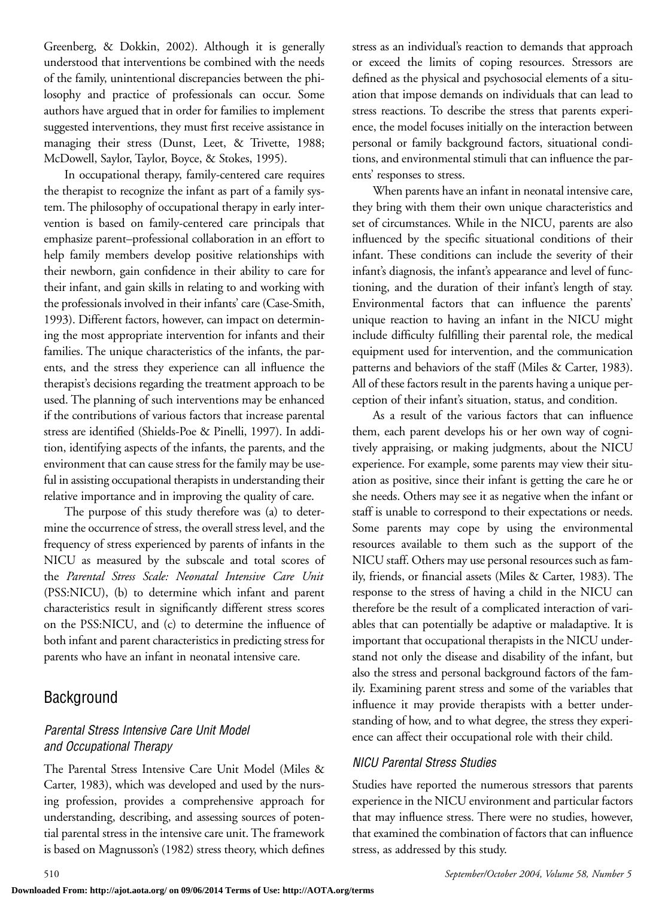Greenberg, & Dokkin, 2002). Although it is generally understood that interventions be combined with the needs of the family, unintentional discrepancies between the philosophy and practice of professionals can occur. Some authors have argued that in order for families to implement suggested interventions, they must first receive assistance in managing their stress (Dunst, Leet, & Trivette, 1988; McDowell, Saylor, Taylor, Boyce, & Stokes, 1995).

In occupational therapy, family-centered care requires the therapist to recognize the infant as part of a family system. The philosophy of occupational therapy in early intervention is based on family-centered care principals that emphasize parent–professional collaboration in an effort to help family members develop positive relationships with their newborn, gain confidence in their ability to care for their infant, and gain skills in relating to and working with the professionals involved in their infants' care (Case-Smith, 1993). Different factors, however, can impact on determining the most appropriate intervention for infants and their families. The unique characteristics of the infants, the parents, and the stress they experience can all influence the therapist's decisions regarding the treatment approach to be used. The planning of such interventions may be enhanced if the contributions of various factors that increase parental stress are identified (Shields-Poe & Pinelli, 1997). In addition, identifying aspects of the infants, the parents, and the environment that can cause stress for the family may be useful in assisting occupational therapists in understanding their relative importance and in improving the quality of care.

The purpose of this study therefore was (a) to determine the occurrence of stress, the overall stress level, and the frequency of stress experienced by parents of infants in the NICU as measured by the subscale and total scores of the *Parental Stress Scale: Neonatal Intensive Care Unit* (PSS:NICU), (b) to determine which infant and parent characteristics result in significantly different stress scores on the PSS:NICU, and (c) to determine the influence of both infant and parent characteristics in predicting stress for parents who have an infant in neonatal intensive care.

# **Background**

## *Parental Stress Intensive Care Unit Model and Occupational Therapy*

The Parental Stress Intensive Care Unit Model (Miles & Carter, 1983), which was developed and used by the nursing profession, provides a comprehensive approach for understanding, describing, and assessing sources of potential parental stress in the intensive care unit. The framework is based on Magnusson's (1982) stress theory, which defines

stress as an individual's reaction to demands that approach or exceed the limits of coping resources. Stressors are defined as the physical and psychosocial elements of a situation that impose demands on individuals that can lead to stress reactions. To describe the stress that parents experience, the model focuses initially on the interaction between personal or family background factors, situational conditions, and environmental stimuli that can influence the parents' responses to stress.

When parents have an infant in neonatal intensive care, they bring with them their own unique characteristics and set of circumstances. While in the NICU, parents are also influenced by the specific situational conditions of their infant. These conditions can include the severity of their infant's diagnosis, the infant's appearance and level of functioning, and the duration of their infant's length of stay. Environmental factors that can influence the parents' unique reaction to having an infant in the NICU might include difficulty fulfilling their parental role, the medical equipment used for intervention, and the communication patterns and behaviors of the staff (Miles & Carter, 1983). All of these factors result in the parents having a unique perception of their infant's situation, status, and condition.

As a result of the various factors that can influence them, each parent develops his or her own way of cognitively appraising, or making judgments, about the NICU experience. For example, some parents may view their situation as positive, since their infant is getting the care he or she needs. Others may see it as negative when the infant or staff is unable to correspond to their expectations or needs. Some parents may cope by using the environmental resources available to them such as the support of the NICU staff. Others may use personal resources such as family, friends, or financial assets (Miles & Carter, 1983). The response to the stress of having a child in the NICU can therefore be the result of a complicated interaction of variables that can potentially be adaptive or maladaptive. It is important that occupational therapists in the NICU understand not only the disease and disability of the infant, but also the stress and personal background factors of the family. Examining parent stress and some of the variables that influence it may provide therapists with a better understanding of how, and to what degree, the stress they experience can affect their occupational role with their child.

## *NICU Parental Stress Studies*

Studies have reported the numerous stressors that parents experience in the NICU environment and particular factors that may influence stress. There were no studies, however, that examined the combination of factors that can influence stress, as addressed by this study.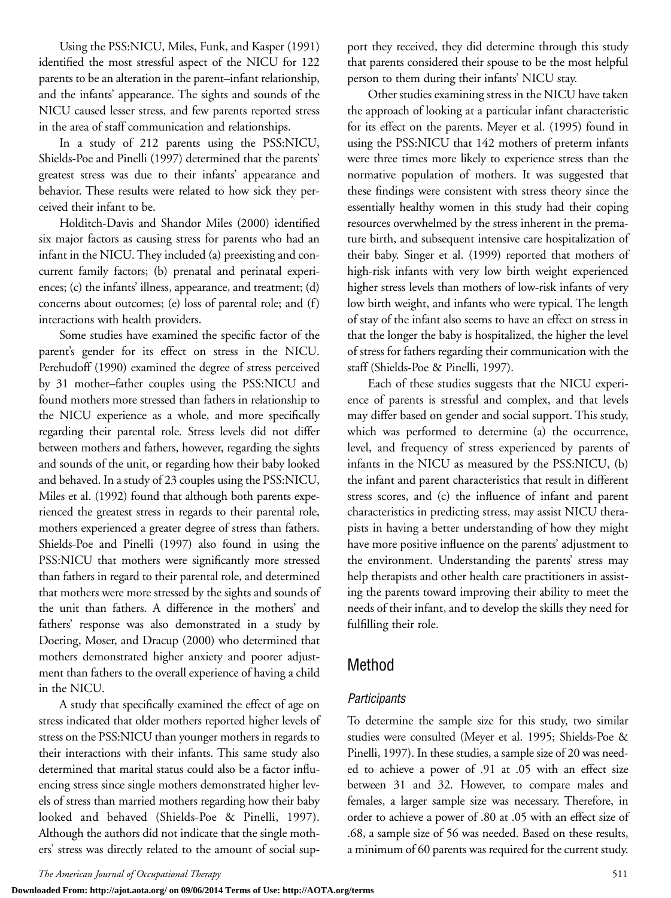Using the PSS:NICU, Miles, Funk, and Kasper (1991) identified the most stressful aspect of the NICU for 122 parents to be an alteration in the parent–infant relationship, and the infants' appearance. The sights and sounds of the NICU caused lesser stress, and few parents reported stress in the area of staff communication and relationships.

In a study of 212 parents using the PSS:NICU, Shields-Poe and Pinelli (1997) determined that the parents' greatest stress was due to their infants' appearance and behavior. These results were related to how sick they perceived their infant to be.

Holditch-Davis and Shandor Miles (2000) identified six major factors as causing stress for parents who had an infant in the NICU. They included (a) preexisting and concurrent family factors; (b) prenatal and perinatal experiences; (c) the infants' illness, appearance, and treatment; (d) concerns about outcomes; (e) loss of parental role; and (f) interactions with health providers.

Some studies have examined the specific factor of the parent's gender for its effect on stress in the NICU. Perehudoff (1990) examined the degree of stress perceived by 31 mother–father couples using the PSS:NICU and found mothers more stressed than fathers in relationship to the NICU experience as a whole, and more specifically regarding their parental role. Stress levels did not differ between mothers and fathers, however, regarding the sights and sounds of the unit, or regarding how their baby looked and behaved. In a study of 23 couples using the PSS:NICU, Miles et al. (1992) found that although both parents experienced the greatest stress in regards to their parental role, mothers experienced a greater degree of stress than fathers. Shields-Poe and Pinelli (1997) also found in using the PSS:NICU that mothers were significantly more stressed than fathers in regard to their parental role, and determined that mothers were more stressed by the sights and sounds of the unit than fathers. A difference in the mothers' and fathers' response was also demonstrated in a study by Doering, Moser, and Dracup (2000) who determined that mothers demonstrated higher anxiety and poorer adjustment than fathers to the overall experience of having a child in the NICU.

A study that specifically examined the effect of age on stress indicated that older mothers reported higher levels of stress on the PSS:NICU than younger mothers in regards to their interactions with their infants. This same study also determined that marital status could also be a factor influencing stress since single mothers demonstrated higher levels of stress than married mothers regarding how their baby looked and behaved (Shields-Poe & Pinelli, 1997). Although the authors did not indicate that the single mothers' stress was directly related to the amount of social sup-

**Downloaded From: http://ajot.aota.org/ on 09/06/2014 Terms of Use: http://AOTA.org/terms**

port they received, they did determine through this study that parents considered their spouse to be the most helpful person to them during their infants' NICU stay.

Other studies examining stress in the NICU have taken the approach of looking at a particular infant characteristic for its effect on the parents. Meyer et al. (1995) found in using the PSS:NICU that 142 mothers of preterm infants were three times more likely to experience stress than the normative population of mothers. It was suggested that these findings were consistent with stress theory since the essentially healthy women in this study had their coping resources overwhelmed by the stress inherent in the premature birth, and subsequent intensive care hospitalization of their baby. Singer et al. (1999) reported that mothers of high-risk infants with very low birth weight experienced higher stress levels than mothers of low-risk infants of very low birth weight, and infants who were typical. The length of stay of the infant also seems to have an effect on stress in that the longer the baby is hospitalized, the higher the level of stress for fathers regarding their communication with the staff (Shields-Poe & Pinelli, 1997).

Each of these studies suggests that the NICU experience of parents is stressful and complex, and that levels may differ based on gender and social support. This study, which was performed to determine (a) the occurrence, level, and frequency of stress experienced by parents of infants in the NICU as measured by the PSS:NICU, (b) the infant and parent characteristics that result in different stress scores, and (c) the influence of infant and parent characteristics in predicting stress, may assist NICU therapists in having a better understanding of how they might have more positive influence on the parents' adjustment to the environment. Understanding the parents' stress may help therapists and other health care practitioners in assisting the parents toward improving their ability to meet the needs of their infant, and to develop the skills they need for fulfilling their role.

## Method

## *Participants*

To determine the sample size for this study, two similar studies were consulted (Meyer et al. 1995; Shields-Poe & Pinelli, 1997). In these studies, a sample size of 20 was needed to achieve a power of .91 at .05 with an effect size between 31 and 32. However, to compare males and females, a larger sample size was necessary. Therefore, in order to achieve a power of .80 at .05 with an effect size of .68, a sample size of 56 was needed. Based on these results, a minimum of 60 parents was required for the current study.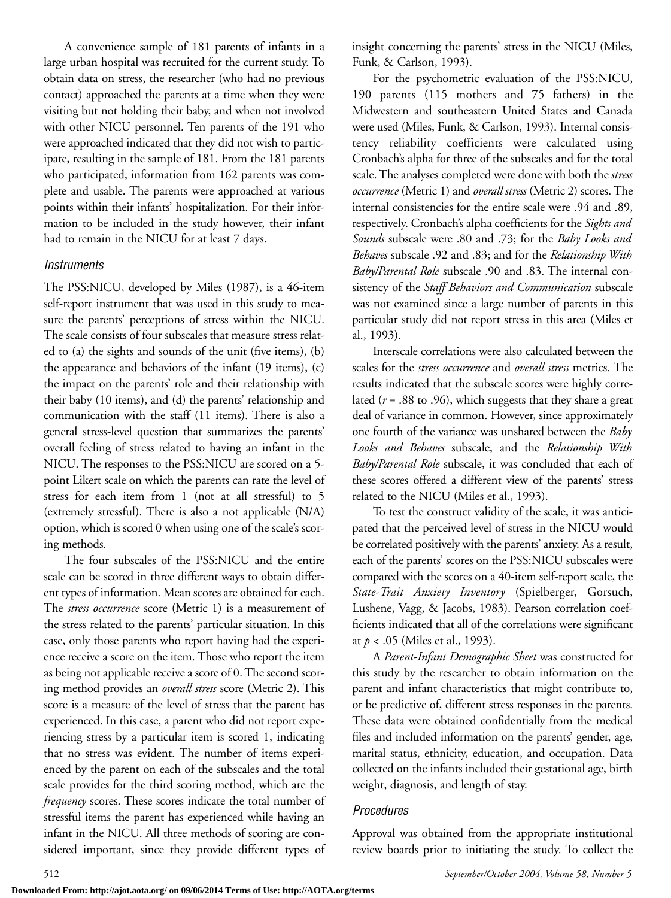A convenience sample of 181 parents of infants in a large urban hospital was recruited for the current study. To obtain data on stress, the researcher (who had no previous contact) approached the parents at a time when they were visiting but not holding their baby, and when not involved with other NICU personnel. Ten parents of the 191 who were approached indicated that they did not wish to participate, resulting in the sample of 181. From the 181 parents who participated, information from 162 parents was complete and usable. The parents were approached at various points within their infants' hospitalization. For their information to be included in the study however, their infant had to remain in the NICU for at least 7 days.

## *Instruments*

The PSS:NICU, developed by Miles (1987), is a 46-item self-report instrument that was used in this study to measure the parents' perceptions of stress within the NICU. The scale consists of four subscales that measure stress related to (a) the sights and sounds of the unit (five items), (b) the appearance and behaviors of the infant (19 items), (c) the impact on the parents' role and their relationship with their baby (10 items), and (d) the parents' relationship and communication with the staff (11 items). There is also a general stress-level question that summarizes the parents' overall feeling of stress related to having an infant in the NICU. The responses to the PSS:NICU are scored on a 5 point Likert scale on which the parents can rate the level of stress for each item from 1 (not at all stressful) to 5 (extremely stressful). There is also a not applicable (N/A) option, which is scored 0 when using one of the scale's scoring methods.

The four subscales of the PSS:NICU and the entire scale can be scored in three different ways to obtain different types of information. Mean scores are obtained for each. The *stress occurrence* score (Metric 1) is a measurement of the stress related to the parents' particular situation. In this case, only those parents who report having had the experience receive a score on the item. Those who report the item as being not applicable receive a score of 0. The second scoring method provides an *overall stress* score (Metric 2). This score is a measure of the level of stress that the parent has experienced. In this case, a parent who did not report experiencing stress by a particular item is scored 1, indicating that no stress was evident. The number of items experienced by the parent on each of the subscales and the total scale provides for the third scoring method, which are the *frequency* scores. These scores indicate the total number of stressful items the parent has experienced while having an infant in the NICU. All three methods of scoring are considered important, since they provide different types of insight concerning the parents' stress in the NICU (Miles, Funk, & Carlson, 1993).

For the psychometric evaluation of the PSS:NICU, 190 parents (115 mothers and 75 fathers) in the Midwestern and southeastern United States and Canada were used (Miles, Funk, & Carlson, 1993). Internal consistency reliability coefficients were calculated using Cronbach's alpha for three of the subscales and for the total scale. The analyses completed were done with both the *stress occurrence* (Metric 1) and *overall stress* (Metric 2) scores. The internal consistencies for the entire scale were .94 and .89, respectively. Cronbach's alpha coefficients for the *Sights and Sounds* subscale were .80 and .73; for the *Baby Looks and Behaves* subscale .92 and .83; and for the *Relationship With Baby/Parental Role* subscale .90 and .83. The internal consistency of the *Staff Behaviors and Communication* subscale was not examined since a large number of parents in this particular study did not report stress in this area (Miles et al., 1993).

Interscale correlations were also calculated between the scales for the *stress occurrence* and *overall stress* metrics. The results indicated that the subscale scores were highly correlated (*r* = .88 to .96), which suggests that they share a great deal of variance in common. However, since approximately one fourth of the variance was unshared between the *Baby Looks and Behaves* subscale, and the *Relationship With Baby/Parental Role* subscale, it was concluded that each of these scores offered a different view of the parents' stress related to the NICU (Miles et al., 1993).

To test the construct validity of the scale, it was anticipated that the perceived level of stress in the NICU would be correlated positively with the parents' anxiety. As a result, each of the parents' scores on the PSS:NICU subscales were compared with the scores on a 40-item self-report scale, the *State-Trait Anxiety Inventory* (Spielberger, Gorsuch, Lushene, Vagg, & Jacobs, 1983). Pearson correlation coefficients indicated that all of the correlations were significant at *p* < .05 (Miles et al., 1993).

A *Parent-Infant Demographic Sheet* was constructed for this study by the researcher to obtain information on the parent and infant characteristics that might contribute to, or be predictive of, different stress responses in the parents. These data were obtained confidentially from the medical files and included information on the parents' gender, age, marital status, ethnicity, education, and occupation. Data collected on the infants included their gestational age, birth weight, diagnosis, and length of stay.

## *Procedures*

Approval was obtained from the appropriate institutional review boards prior to initiating the study. To collect the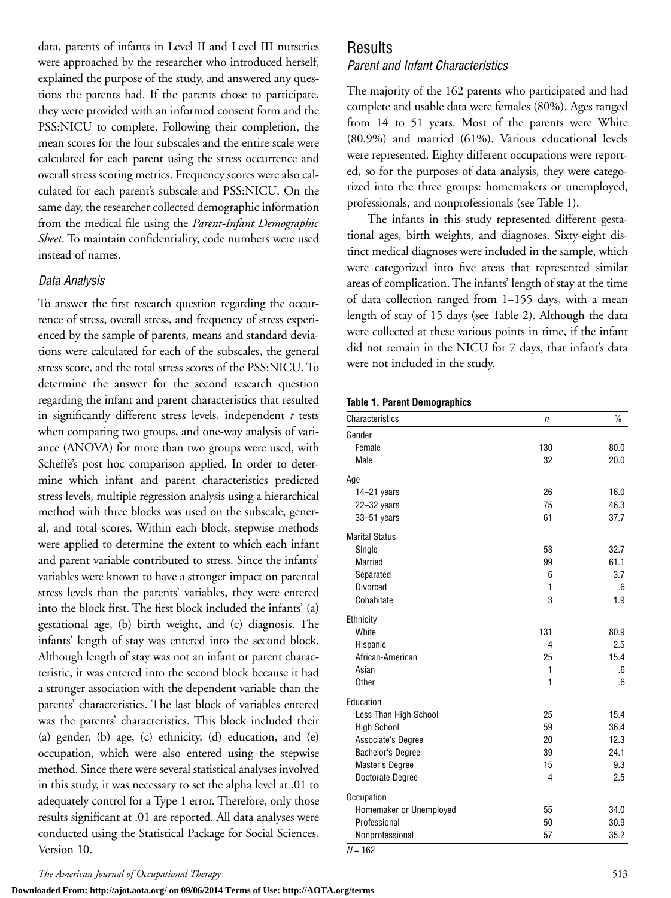data, parents of infants in Level II and Level III nurseries were approached by the researcher who introduced herself, explained the purpose of the study, and answered any questions the parents had. If the parents chose to participate, they were provided with an informed consent form and the PSS:NICU to complete. Following their completion, the mean scores for the four subscales and the entire scale were calculated for each parent using the stress occurrence and overall stress scoring metrics. Frequency scores were also calculated for each parent's subscale and PSS:NICU. On the same day, the researcher collected demographic information from the medical file using the *Parent-Infant Demographic Sheet*. To maintain confidentiality, code numbers were used instead of names.

## *Data Analysis*

To answer the first research question regarding the occurrence of stress, overall stress, and frequency of stress experienced by the sample of parents, means and standard deviations were calculated for each of the subscales, the general stress score, and the total stress scores of the PSS:NICU. To determine the answer for the second research question regarding the infant and parent characteristics that resulted in significantly different stress levels, independent *t* tests when comparing two groups, and one-way analysis of variance (ANOVA) for more than two groups were used, with Scheffe's post hoc comparison applied. In order to determine which infant and parent characteristics predicted stress levels, multiple regression analysis using a hierarchical method with three blocks was used on the subscale, general, and total scores. Within each block, stepwise methods were applied to determine the extent to which each infant and parent variable contributed to stress. Since the infants' variables were known to have a stronger impact on parental stress levels than the parents' variables, they were entered into the block first. The first block included the infants' (a) gestational age, (b) birth weight, and (c) diagnosis. The infants' length of stay was entered into the second block. Although length of stay was not an infant or parent characteristic, it was entered into the second block because it had a stronger association with the dependent variable than the parents' characteristics. The last block of variables entered was the parents' characteristics. This block included their (a) gender, (b) age, (c) ethnicity, (d) education, and (e) occupation, which were also entered using the stepwise method. Since there were several statistical analyses involved in this study, it was necessary to set the alpha level at .01 to adequately control for a Type 1 error. Therefore, only those results significant at .01 are reported. All data analyses were conducted using the Statistical Package for Social Sciences, Version 10.

# Results

## *Parent and Infant Characteristics*

The majority of the 162 parents who participated and had complete and usable data were females (80%). Ages ranged from 14 to 51 years. Most of the parents were White (80.9%) and married (61%). Various educational levels were represented. Eighty different occupations were reported, so for the purposes of data analysis, they were categorized into the three groups: homemakers or unemployed, professionals, and nonprofessionals (see Table 1).

The infants in this study represented different gestational ages, birth weights, and diagnoses. Sixty-eight distinct medical diagnoses were included in the sample, which were categorized into five areas that represented similar areas of complication. The infants' length of stay at the time of data collection ranged from 1–155 days, with a mean length of stay of 15 days (see Table 2). Although the data were collected at these various points in time, if the infant did not remain in the NICU for 7 days, that infant's data were not included in the study.

#### **Table 1. Parent Demographics**

| Characteristics          | n              | $\frac{0}{0}$ |
|--------------------------|----------------|---------------|
| Gender                   |                |               |
| Female                   | 130            | 80.0          |
| Male                     | 32             | 20.0          |
| Age                      |                |               |
| 14-21 years              | 26             | 16.0          |
| $22 - 32$ years          | 75             | 46.3          |
| 33-51 years              | 61             | 37.7          |
| <b>Marital Status</b>    |                |               |
| Single                   | 53             | 32.7          |
| <b>Married</b>           | 99             | 61.1          |
| Separated                | 6              | 3.7           |
| <b>Divorced</b>          | 1              | .6            |
| Cohabitate               | 3              | 1.9           |
| Ethnicity                |                |               |
| White                    | 131            | 80.9          |
| Hispanic                 | $\overline{4}$ | 2.5           |
| African-American         | 25             | 15.4          |
| Asian                    | 1              | .6            |
| <b>Other</b>             | 1              | .6            |
| Education                |                |               |
| Less Than High School    | 25             | 15.4          |
| <b>High School</b>       | 59             | 36.4          |
| Associate's Degree       | 20             | 12.3          |
| <b>Bachelor's Degree</b> | 39             | 24.1          |
| Master's Degree          | 15             | 9.3           |
| Doctorate Degree         | $\overline{4}$ | 2.5           |
| Occupation               |                |               |
| Homemaker or Unemployed  | 55             | 34.0          |
| Professional             | 50             | 30.9          |
| Nonprofessional          | 57             | 35.2          |
| $N = 162$                |                |               |

**Downloaded From: http://ajot.aota.org/ on 09/06/2014 Terms of Use: http://AOTA.org/terms**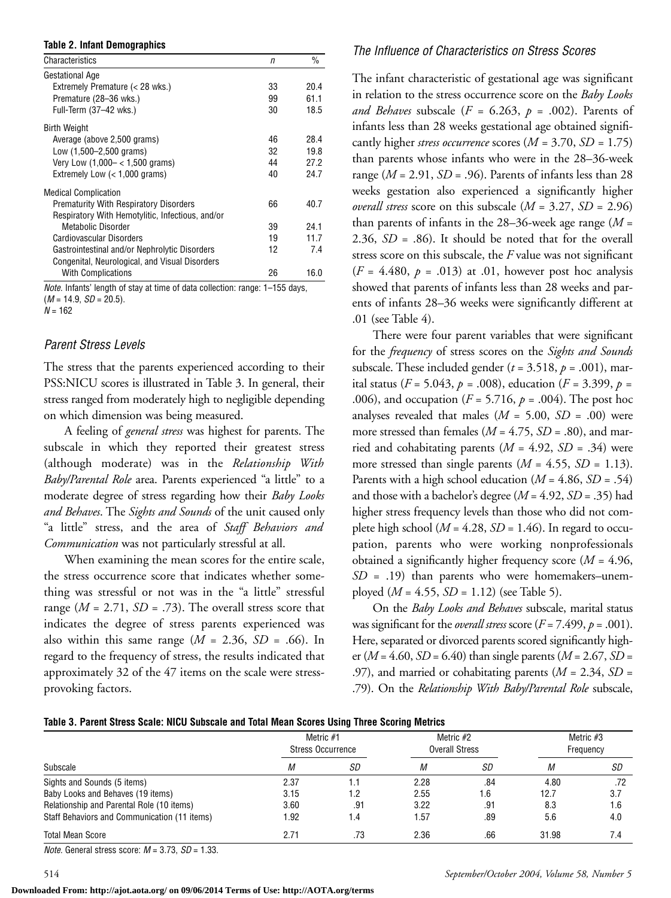#### **Table 2. Infant Demographics**

| Characteristics                                  | n  | %    |
|--------------------------------------------------|----|------|
| Gestational Age                                  |    |      |
| Extremely Premature (< 28 wks.)                  | 33 | 20.4 |
| Premature (28-36 wks.)                           | 99 | 61.1 |
| Full-Term (37-42 wks.)                           | 30 | 18.5 |
| Birth Weight                                     |    |      |
| Average (above 2,500 grams)                      | 46 | 28.4 |
| Low (1,500–2,500 grams)                          | 32 | 19.8 |
| Very Low $(1,000 - < 1,500$ grams)               | 44 | 27.2 |
| Extremely Low (< 1,000 grams)                    | 40 | 24.7 |
| <b>Medical Complication</b>                      |    |      |
| <b>Prematurity With Respiratory Disorders</b>    | 66 | 40.7 |
| Respiratory With Hemotylitic, Infectious, and/or |    |      |
| Metabolic Disorder                               | 39 | 24.1 |
| Cardiovascular Disorders                         | 19 | 11.7 |
| Gastrointestinal and/or Nephrolytic Disorders    | 12 | 74   |
| Congenital, Neurological, and Visual Disorders   |    |      |
| <b>With Complications</b>                        | 26 | 16.0 |

*Note.* Infants' length of stay at time of data collection: range: 1–155 days, (*M* = 14.9, *SD* = 20.5). *N* = 162

#### *Parent Stress Levels*

The stress that the parents experienced according to their PSS:NICU scores is illustrated in Table 3. In general, their stress ranged from moderately high to negligible depending on which dimension was being measured.

A feeling of *general stress* was highest for parents. The subscale in which they reported their greatest stress (although moderate) was in the *Relationship With Baby/Parental Role* area. Parents experienced "a little" to a moderate degree of stress regarding how their *Baby Looks and Behaves*. The *Sights and Sounds* of the unit caused only "a little" stress, and the area of *Staff Behaviors and Communication* was not particularly stressful at all.

When examining the mean scores for the entire scale, the stress occurrence score that indicates whether something was stressful or not was in the "a little" stressful range  $(M = 2.71, SD = .73)$ . The overall stress score that indicates the degree of stress parents experienced was also within this same range  $(M = 2.36, SD = .66)$ . In regard to the frequency of stress, the results indicated that approximately 32 of the 47 items on the scale were stressprovoking factors.

#### *The Influence of Characteristics on Stress Scores*

The infant characteristic of gestational age was significant in relation to the stress occurrence score on the *Baby Looks* and Behaves subscale ( $F = 6.263$ ,  $p = .002$ ). Parents of infants less than 28 weeks gestational age obtained significantly higher *stress occurrence* scores (*M =* 3.70, *SD =* 1.75) than parents whose infants who were in the 28–36-week range (*M* = 2.91, *SD* = .96). Parents of infants less than 28 weeks gestation also experienced a significantly higher *overall stress* score on this subscale (*M* = 3.27, *SD* = 2.96) than parents of infants in the 28–36-week age range (*M* = 2.36, *SD* = .86). It should be noted that for the overall stress score on this subscale, the *F* value was not significant  $(F = 4.480, p = .013)$  at .01, however post hoc analysis showed that parents of infants less than 28 weeks and parents of infants 28–36 weeks were significantly different at .01 (see Table 4).

There were four parent variables that were significant for the *frequency* of stress scores on the *Sights and Sounds* subscale. These included gender  $(t = 3.518, p = .001)$ , marital status ( $F = 5.043$ ,  $p = .008$ ), education ( $F = 3.399$ ,  $p =$ .006), and occupation (*F* = 5.716, *p* = .004). The post hoc analyses revealed that males  $(M = 5.00, SD = .00)$  were more stressed than females ( $M = 4.75$ ,  $SD = .80$ ), and married and cohabitating parents (*M* = 4.92, *SD* = .34) were more stressed than single parents  $(M = 4.55, SD = 1.13)$ . Parents with a high school education (*M* = 4.86, *SD* = .54) and those with a bachelor's degree (*M* = 4.92, *SD* = .35) had higher stress frequency levels than those who did not complete high school ( $M = 4.28$ ,  $SD = 1.46$ ). In regard to occupation, parents who were working nonprofessionals obtained a significantly higher frequency score (*M* = 4.96,  $SD = .19$ ) than parents who were homemakers–unemployed (*M* = 4.55, *SD* = 1.12) (see Table 5).

On the *Baby Looks and Behaves* subscale, marital status was significant for the *overall stress* score  $(F = 7.499, p = .001)$ . Here, separated or divorced parents scored significantly higher ( $M = 4.60$ ,  $SD = 6.40$ ) than single parents ( $M = 2.67$ ,  $SD =$ .97), and married or cohabitating parents (*M* = 2.34, *SD* = .79). On the *Relationship With Baby/Parental Role* subscale,

|  |  |  | Table 3. Parent Stress Scale: NICU Subscale and Total Mean Scores Using Three Scoring Metrics |  |  |  |  |
|--|--|--|-----------------------------------------------------------------------------------------------|--|--|--|--|
|--|--|--|-----------------------------------------------------------------------------------------------|--|--|--|--|

|                                              | Metric #1<br><b>Stress Occurrence</b> |     | Metric $#2$<br><b>Overall Stress</b> |     | Metric $#3$<br>Frequency |     |
|----------------------------------------------|---------------------------------------|-----|--------------------------------------|-----|--------------------------|-----|
| Subscale                                     | М                                     | SD  | М                                    | SD  | M                        | SD  |
| Sights and Sounds (5 items)                  | 2.37                                  | 1.1 | 2.28                                 | .84 | 4.80                     | .72 |
| Baby Looks and Behaves (19 items)            | 3.15                                  | 1.2 | 2.55                                 | 1.6 | 12.7                     | 3.7 |
| Relationship and Parental Role (10 items)    | 3.60                                  | .91 | 3.22                                 | .91 | 8.3                      | 1.6 |
| Staff Behaviors and Communication (11 items) | 1.92                                  | 1.4 | 1.57                                 | .89 | 5.6                      | 4.0 |
| <b>Total Mean Score</b>                      | 2.71                                  | .73 | 2.36                                 | .66 | 31.98                    | 7.4 |

*Note.* General stress score: *M* = 3.73, *SD* = 1.33.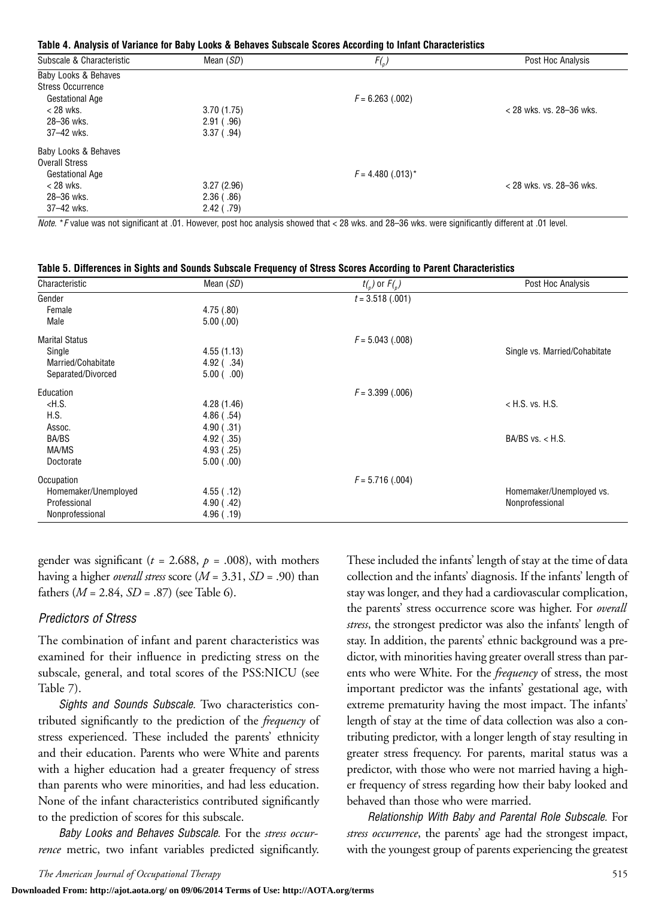#### **Table 4. Analysis of Variance for Baby Looks & Behaves Subscale Scores According to Infant Characteristics**

| Subscale & Characteristic | Mean $(SD)$  | $F({}_{p})$         | Post Hoc Analysis          |
|---------------------------|--------------|---------------------|----------------------------|
| Baby Looks & Behaves      |              |                     |                            |
| <b>Stress Occurrence</b>  |              |                     |                            |
| <b>Gestational Age</b>    |              | $F = 6.263$ (.002)  |                            |
| $<$ 28 wks.               | 3.70(1.75)   |                     | $<$ 28 wks. vs. 28-36 wks. |
| 28-36 wks.                | 2.91( .96)   |                     |                            |
| 37-42 wks.                | $3.37$ (.94) |                     |                            |
| Baby Looks & Behaves      |              |                     |                            |
| <b>Overall Stress</b>     |              |                     |                            |
| <b>Gestational Age</b>    |              | $F = 4.480$ (.013)* |                            |
| $<$ 28 wks.               | 3.27(2.96)   |                     | $<$ 28 wks. vs. 28-36 wks. |
| 28-36 wks.                | 2.36(.86)    |                     |                            |
| 37-42 wks.                | $2.42$ (.79) |                     |                            |

*Note.* \**F* value was not significant at .01. However, post hoc analysis showed that < 28 wks. and 28–36 wks. were significantly different at .01 level.

|  | Table 5. Differences in Sights and Sounds Subscale Frequency of Stress Scores According to Parent Characteristics |
|--|-------------------------------------------------------------------------------------------------------------------|
|  |                                                                                                                   |

| Characteristic        | Mean $(SD)$      | $t_{n}$ ) or $F_{n}$ ) | Post Hoc Analysis             |
|-----------------------|------------------|------------------------|-------------------------------|
| Gender                |                  | $t = 3.518$ (.001)     |                               |
| Female                | 4.75(.80)        |                        |                               |
| Male                  | 5.00(.00)        |                        |                               |
| <b>Marital Status</b> |                  | $F = 5.043$ (.008)     |                               |
| Single                | 4.55(1.13)       |                        | Single vs. Married/Cohabitate |
| Married/Cohabitate    | $4.92$ ( $.34$ ) |                        |                               |
| Separated/Divorced    | 5.00(0.00)       |                        |                               |
| Education             |                  | $F = 3.399$ (.006)     |                               |
| $<$ H.S.              | 4.28 (1.46)      |                        | $<$ H.S. vs. H.S.             |
| H.S.                  | 4.86(.54)        |                        |                               |
| Assoc.                | 4.90(.31)        |                        |                               |
| BA/BS                 | $4.92$ (.35)     |                        | BA/BS vs. $<$ H.S.            |
| MA/MS                 | 4.93( .25)       |                        |                               |
| Doctorate             | 5.00(0.00)       |                        |                               |
| Occupation            |                  | $F = 5.716(.004)$      |                               |
| Homemaker/Unemployed  | 4.55( .12)       |                        | Homemaker/Unemployed vs.      |
| Professional          | 4.90( .42)       |                        | Nonprofessional               |
| Nonprofessional       | 4.96( .19)       |                        |                               |

gender was significant ( $t = 2.688$ ,  $p = .008$ ), with mothers having a higher *overall stress* score (*M* = 3.31, *SD* = .90) than fathers  $(M = 2.84, SD = .87)$  (see Table 6).

#### *Predictors of Stress*

The combination of infant and parent characteristics was examined for their influence in predicting stress on the subscale, general, and total scores of the PSS:NICU (see Table 7).

*Sights and Sounds Subscale.* Two characteristics contributed significantly to the prediction of the *frequency* of stress experienced. These included the parents' ethnicity and their education. Parents who were White and parents with a higher education had a greater frequency of stress than parents who were minorities, and had less education. None of the infant characteristics contributed significantly to the prediction of scores for this subscale.

*Baby Looks and Behaves Subscale.* For the *stress occurrence* metric, two infant variables predicted significantly. These included the infants' length of stay at the time of data collection and the infants' diagnosis. If the infants' length of stay was longer, and they had a cardiovascular complication, the parents' stress occurrence score was higher. For *overall stress*, the strongest predictor was also the infants' length of stay. In addition, the parents' ethnic background was a predictor, with minorities having greater overall stress than parents who were White. For the *frequency* of stress, the most important predictor was the infants' gestational age, with extreme prematurity having the most impact. The infants' length of stay at the time of data collection was also a contributing predictor, with a longer length of stay resulting in greater stress frequency. For parents, marital status was a predictor, with those who were not married having a higher frequency of stress regarding how their baby looked and behaved than those who were married.

*Relationship With Baby and Parental Role Subscale.* For *stress occurrence*, the parents' age had the strongest impact, with the youngest group of parents experiencing the greatest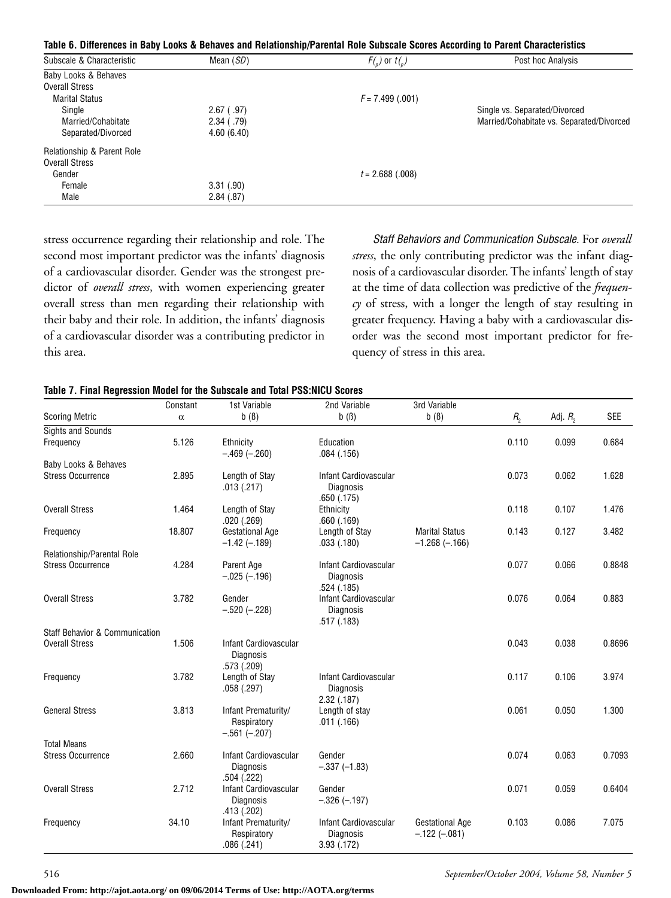|  |  | Table 6. Differences in Baby Looks & Behaves and Relationship/Parental Role Subscale Scores According to Parent Characteristics |  |  |
|--|--|---------------------------------------------------------------------------------------------------------------------------------|--|--|
|  |  |                                                                                                                                 |  |  |

| Subscale & Characteristic  | Mean $(SD)$  | $F(r)$ or $t(r)$  | Post hoc Analysis                         |
|----------------------------|--------------|-------------------|-------------------------------------------|
| Baby Looks & Behaves       |              |                   |                                           |
| <b>Overall Stress</b>      |              |                   |                                           |
| <b>Marital Status</b>      |              | $F = 7.499(.001)$ |                                           |
| Single                     | $2.67$ (.97) |                   | Single vs. Separated/Divorced             |
| Married/Cohabitate         | $2.34$ (.79) |                   | Married/Cohabitate vs. Separated/Divorced |
| Separated/Divorced         | 4.60(6.40)   |                   |                                           |
| Relationship & Parent Role |              |                   |                                           |
| <b>Overall Stress</b>      |              |                   |                                           |
| Gender                     |              | $t = 2.688(.008)$ |                                           |
| Female                     | 3.31(.90)    |                   |                                           |
| Male                       | 2.84(.87)    |                   |                                           |

stress occurrence regarding their relationship and role. The second most important predictor was the infants' diagnosis of a cardiovascular disorder. Gender was the strongest predictor of *overall stress*, with women experiencing greater overall stress than men regarding their relationship with their baby and their role. In addition, the infants' diagnosis of a cardiovascular disorder was a contributing predictor in this area.

*Staff Behaviors and Communication Subscale.* For *overall stress*, the only contributing predictor was the infant diagnosis of a cardiovascular disorder. The infants' length of stay at the time of data collection was predictive of the *frequency* of stress, with a longer the length of stay resulting in greater frequency. Having a baby with a cardiovascular disorder was the second most important predictor for frequency of stress in this area.

#### **Table 7. Final Regression Model for the Subscale and Total PSS:NICU Scores**

|                                           | Constant | 1st Variable                                             | 2nd Variable                                                 | 3rd Variable                                  |                  |              |            |
|-------------------------------------------|----------|----------------------------------------------------------|--------------------------------------------------------------|-----------------------------------------------|------------------|--------------|------------|
| <b>Scoring Metric</b>                     | $\alpha$ | $b( \beta)$                                              | $b( \beta)$                                                  | $b( \beta)$                                   | $R$ <sub>2</sub> | Adj. $R_{2}$ | <b>SEE</b> |
| <b>Sights and Sounds</b>                  |          |                                                          |                                                              |                                               |                  |              |            |
| Frequency                                 | 5.126    | Ethnicity<br>$-.469(-.260)$                              | Education<br>.084(.156)                                      |                                               | 0.110            | 0.099        | 0.684      |
| Baby Looks & Behaves                      |          |                                                          |                                                              |                                               |                  |              |            |
| <b>Stress Occurrence</b>                  | 2.895    | Length of Stay<br>.013(.217)                             | Infant Cardiovascular<br><b>Diagnosis</b><br>.650(.175)      |                                               | 0.073            | 0.062        | 1.628      |
| <b>Overall Stress</b>                     | 1.464    | Length of Stay<br>.020(.269)                             | Ethnicity<br>.660(.169)                                      |                                               | 0.118            | 0.107        | 1.476      |
| Frequency                                 | 18.807   | <b>Gestational Age</b><br>$-1.42$ ( $-.189$ )            | Length of Stay<br>.033(.180)                                 | <b>Marital Status</b><br>$-1.268$ ( $-.166$ ) | 0.143            | 0.127        | 3.482      |
| Relationship/Parental Role                |          |                                                          |                                                              |                                               |                  |              |            |
| <b>Stress Occurrence</b>                  | 4.284    | Parent Age<br>$-.025(-.196)$                             | Infant Cardiovascular<br><b>Diagnosis</b><br>.524(.185)      |                                               | 0.077            | 0.066        | 0.8848     |
| <b>Overall Stress</b>                     | 3.782    | Gender<br>$-.520(-.228)$                                 | Infant Cardiovascular<br><b>Diagnosis</b><br>.517(.183)      |                                               | 0.076            | 0.064        | 0.883      |
| <b>Staff Behavior &amp; Communication</b> |          |                                                          |                                                              |                                               |                  |              |            |
| <b>Overall Stress</b>                     | 1.506    | Infant Cardiovascular<br><b>Diagnosis</b><br>.573 (.209) |                                                              |                                               | 0.043            | 0.038        | 0.8696     |
| Frequency                                 | 3.782    | Length of Stay<br>.058(.297)                             | Infant Cardiovascular<br><b>Diagnosis</b><br>$2.32$ $(.187)$ |                                               | 0.117            | 0.106        | 3.974      |
| <b>General Stress</b>                     | 3.813    | Infant Prematurity/<br>Respiratory<br>$-.561(-.207)$     | Length of stay<br>.011(.166)                                 |                                               | 0.061            | 0.050        | 1.300      |
| <b>Total Means</b>                        |          |                                                          |                                                              |                                               |                  |              |            |
| <b>Stress Occurrence</b>                  | 2.660    | Infant Cardiovascular<br><b>Diagnosis</b><br>.504(.222)  | Gender<br>$-.337(-1.83)$                                     |                                               | 0.074            | 0.063        | 0.7093     |
| <b>Overall Stress</b>                     | 2.712    | Infant Cardiovascular<br><b>Diagnosis</b><br>.413 (.202) | Gender<br>$-.326(-.197)$                                     |                                               | 0.071            | 0.059        | 0.6404     |
| Frequency                                 | 34.10    | Infant Prematurity/<br>Respiratory<br>.086(.241)         | Infant Cardiovascular<br><b>Diagnosis</b><br>3.93 (.172)     | <b>Gestational Age</b><br>$-122(-081)$        | 0.103            | 0.086        | 7.075      |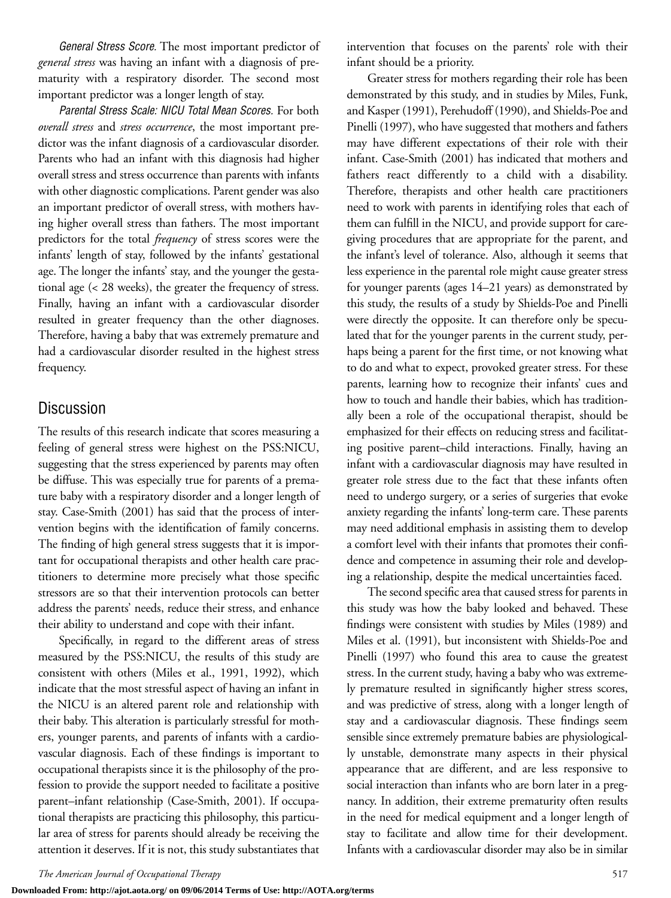*General Stress Score.* The most important predictor of *general stress* was having an infant with a diagnosis of prematurity with a respiratory disorder. The second most important predictor was a longer length of stay.

*Parental Stress Scale: NICU Total Mean Scores.* For both *overall stress* and *stress occurrence*, the most important predictor was the infant diagnosis of a cardiovascular disorder. Parents who had an infant with this diagnosis had higher overall stress and stress occurrence than parents with infants with other diagnostic complications. Parent gender was also an important predictor of overall stress, with mothers having higher overall stress than fathers. The most important predictors for the total *frequency* of stress scores were the infants' length of stay, followed by the infants' gestational age. The longer the infants' stay, and the younger the gestational age (< 28 weeks), the greater the frequency of stress. Finally, having an infant with a cardiovascular disorder resulted in greater frequency than the other diagnoses. Therefore, having a baby that was extremely premature and had a cardiovascular disorder resulted in the highest stress frequency.

# Discussion

The results of this research indicate that scores measuring a feeling of general stress were highest on the PSS:NICU, suggesting that the stress experienced by parents may often be diffuse. This was especially true for parents of a premature baby with a respiratory disorder and a longer length of stay. Case-Smith (2001) has said that the process of intervention begins with the identification of family concerns. The finding of high general stress suggests that it is important for occupational therapists and other health care practitioners to determine more precisely what those specific stressors are so that their intervention protocols can better address the parents' needs, reduce their stress, and enhance their ability to understand and cope with their infant.

Specifically, in regard to the different areas of stress measured by the PSS:NICU, the results of this study are consistent with others (Miles et al., 1991, 1992), which indicate that the most stressful aspect of having an infant in the NICU is an altered parent role and relationship with their baby. This alteration is particularly stressful for mothers, younger parents, and parents of infants with a cardiovascular diagnosis. Each of these findings is important to occupational therapists since it is the philosophy of the profession to provide the support needed to facilitate a positive parent–infant relationship (Case-Smith, 2001). If occupational therapists are practicing this philosophy, this particular area of stress for parents should already be receiving the attention it deserves. If it is not, this study substantiates that intervention that focuses on the parents' role with their infant should be a priority.

Greater stress for mothers regarding their role has been demonstrated by this study, and in studies by Miles, Funk, and Kasper (1991), Perehudoff (1990), and Shields-Poe and Pinelli (1997), who have suggested that mothers and fathers may have different expectations of their role with their infant. Case-Smith (2001) has indicated that mothers and fathers react differently to a child with a disability. Therefore, therapists and other health care practitioners need to work with parents in identifying roles that each of them can fulfill in the NICU, and provide support for caregiving procedures that are appropriate for the parent, and the infant's level of tolerance. Also, although it seems that less experience in the parental role might cause greater stress for younger parents (ages 14–21 years) as demonstrated by this study, the results of a study by Shields-Poe and Pinelli were directly the opposite. It can therefore only be speculated that for the younger parents in the current study, perhaps being a parent for the first time, or not knowing what to do and what to expect, provoked greater stress. For these parents, learning how to recognize their infants' cues and how to touch and handle their babies, which has traditionally been a role of the occupational therapist, should be emphasized for their effects on reducing stress and facilitating positive parent–child interactions. Finally, having an infant with a cardiovascular diagnosis may have resulted in greater role stress due to the fact that these infants often need to undergo surgery, or a series of surgeries that evoke anxiety regarding the infants' long-term care. These parents may need additional emphasis in assisting them to develop a comfort level with their infants that promotes their confidence and competence in assuming their role and developing a relationship, despite the medical uncertainties faced.

The second specific area that caused stress for parents in this study was how the baby looked and behaved. These findings were consistent with studies by Miles (1989) and Miles et al. (1991), but inconsistent with Shields-Poe and Pinelli (1997) who found this area to cause the greatest stress. In the current study, having a baby who was extremely premature resulted in significantly higher stress scores, and was predictive of stress, along with a longer length of stay and a cardiovascular diagnosis. These findings seem sensible since extremely premature babies are physiologically unstable, demonstrate many aspects in their physical appearance that are different, and are less responsive to social interaction than infants who are born later in a pregnancy. In addition, their extreme prematurity often results in the need for medical equipment and a longer length of stay to facilitate and allow time for their development. Infants with a cardiovascular disorder may also be in similar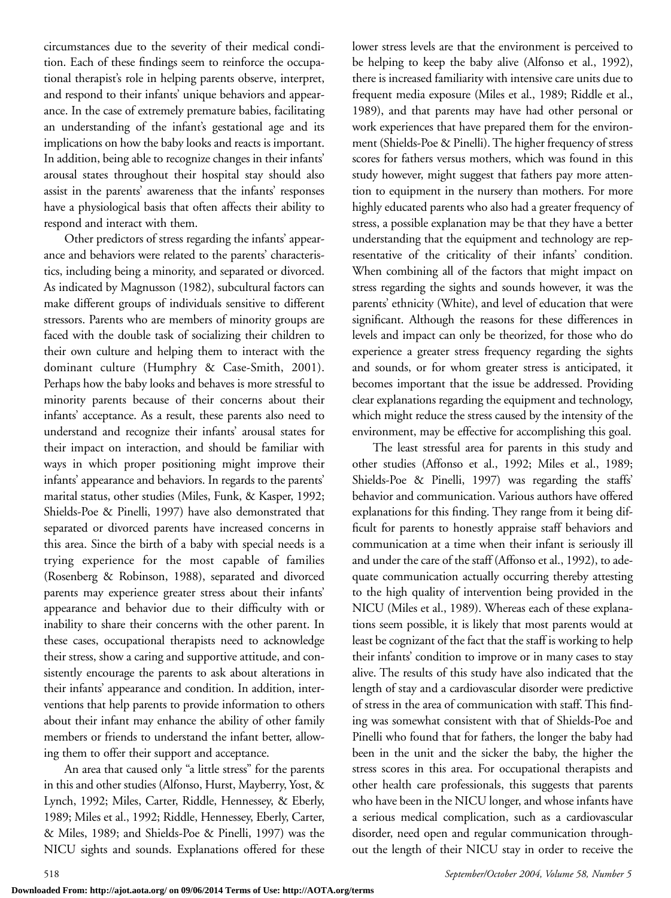circumstances due to the severity of their medical condition. Each of these findings seem to reinforce the occupational therapist's role in helping parents observe, interpret, and respond to their infants' unique behaviors and appearance. In the case of extremely premature babies, facilitating an understanding of the infant's gestational age and its implications on how the baby looks and reacts is important. In addition, being able to recognize changes in their infants' arousal states throughout their hospital stay should also assist in the parents' awareness that the infants' responses have a physiological basis that often affects their ability to respond and interact with them.

Other predictors of stress regarding the infants' appearance and behaviors were related to the parents' characteristics, including being a minority, and separated or divorced. As indicated by Magnusson (1982), subcultural factors can make different groups of individuals sensitive to different stressors. Parents who are members of minority groups are faced with the double task of socializing their children to their own culture and helping them to interact with the dominant culture (Humphry & Case-Smith, 2001). Perhaps how the baby looks and behaves is more stressful to minority parents because of their concerns about their infants' acceptance. As a result, these parents also need to understand and recognize their infants' arousal states for their impact on interaction, and should be familiar with ways in which proper positioning might improve their infants' appearance and behaviors. In regards to the parents' marital status, other studies (Miles, Funk, & Kasper, 1992; Shields-Poe & Pinelli, 1997) have also demonstrated that separated or divorced parents have increased concerns in this area. Since the birth of a baby with special needs is a trying experience for the most capable of families (Rosenberg & Robinson, 1988), separated and divorced parents may experience greater stress about their infants' appearance and behavior due to their difficulty with or inability to share their concerns with the other parent. In these cases, occupational therapists need to acknowledge their stress, show a caring and supportive attitude, and consistently encourage the parents to ask about alterations in their infants' appearance and condition. In addition, interventions that help parents to provide information to others about their infant may enhance the ability of other family members or friends to understand the infant better, allowing them to offer their support and acceptance.

An area that caused only "a little stress" for the parents in this and other studies (Alfonso, Hurst, Mayberry, Yost, & Lynch, 1992; Miles, Carter, Riddle, Hennessey, & Eberly, 1989; Miles et al., 1992; Riddle, Hennessey, Eberly, Carter, & Miles, 1989; and Shields-Poe & Pinelli, 1997) was the NICU sights and sounds. Explanations offered for these lower stress levels are that the environment is perceived to be helping to keep the baby alive (Alfonso et al., 1992), there is increased familiarity with intensive care units due to frequent media exposure (Miles et al., 1989; Riddle et al., 1989), and that parents may have had other personal or work experiences that have prepared them for the environment (Shields-Poe & Pinelli). The higher frequency of stress scores for fathers versus mothers, which was found in this study however, might suggest that fathers pay more attention to equipment in the nursery than mothers. For more highly educated parents who also had a greater frequency of stress, a possible explanation may be that they have a better understanding that the equipment and technology are representative of the criticality of their infants' condition. When combining all of the factors that might impact on stress regarding the sights and sounds however, it was the parents' ethnicity (White), and level of education that were significant. Although the reasons for these differences in levels and impact can only be theorized, for those who do experience a greater stress frequency regarding the sights and sounds, or for whom greater stress is anticipated, it becomes important that the issue be addressed. Providing clear explanations regarding the equipment and technology, which might reduce the stress caused by the intensity of the environment, may be effective for accomplishing this goal.

The least stressful area for parents in this study and other studies (Affonso et al., 1992; Miles et al., 1989; Shields-Poe & Pinelli, 1997) was regarding the staffs' behavior and communication. Various authors have offered explanations for this finding. They range from it being difficult for parents to honestly appraise staff behaviors and communication at a time when their infant is seriously ill and under the care of the staff (Affonso et al., 1992), to adequate communication actually occurring thereby attesting to the high quality of intervention being provided in the NICU (Miles et al., 1989). Whereas each of these explanations seem possible, it is likely that most parents would at least be cognizant of the fact that the staff is working to help their infants' condition to improve or in many cases to stay alive. The results of this study have also indicated that the length of stay and a cardiovascular disorder were predictive of stress in the area of communication with staff. This finding was somewhat consistent with that of Shields-Poe and Pinelli who found that for fathers, the longer the baby had been in the unit and the sicker the baby, the higher the stress scores in this area. For occupational therapists and other health care professionals, this suggests that parents who have been in the NICU longer, and whose infants have a serious medical complication, such as a cardiovascular disorder, need open and regular communication throughout the length of their NICU stay in order to receive the

**Downloaded From: http://ajot.aota.org/ on 09/06/2014 Terms of Use: http://AOTA.org/terms**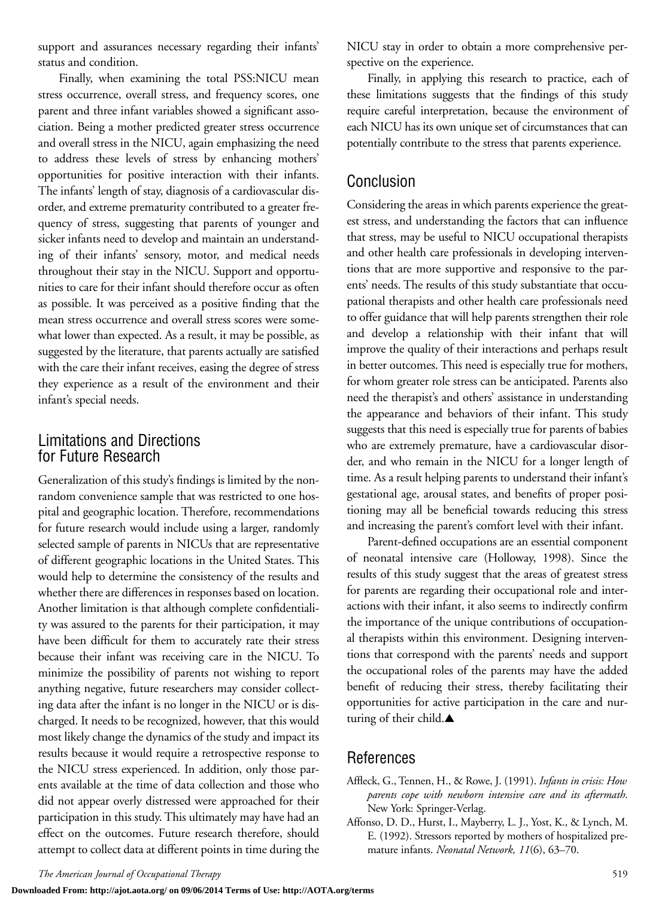support and assurances necessary regarding their infants' status and condition.

Finally, when examining the total PSS:NICU mean stress occurrence, overall stress, and frequency scores, one parent and three infant variables showed a significant association. Being a mother predicted greater stress occurrence and overall stress in the NICU, again emphasizing the need to address these levels of stress by enhancing mothers' opportunities for positive interaction with their infants. The infants' length of stay, diagnosis of a cardiovascular disorder, and extreme prematurity contributed to a greater frequency of stress, suggesting that parents of younger and sicker infants need to develop and maintain an understanding of their infants' sensory, motor, and medical needs throughout their stay in the NICU. Support and opportunities to care for their infant should therefore occur as often as possible. It was perceived as a positive finding that the mean stress occurrence and overall stress scores were somewhat lower than expected. As a result, it may be possible, as suggested by the literature, that parents actually are satisfied with the care their infant receives, easing the degree of stress they experience as a result of the environment and their infant's special needs.

# Limitations and Directions for Future Research

Generalization of this study's findings is limited by the nonrandom convenience sample that was restricted to one hospital and geographic location. Therefore, recommendations for future research would include using a larger, randomly selected sample of parents in NICUs that are representative of different geographic locations in the United States. This would help to determine the consistency of the results and whether there are differences in responses based on location. Another limitation is that although complete confidentiality was assured to the parents for their participation, it may have been difficult for them to accurately rate their stress because their infant was receiving care in the NICU. To minimize the possibility of parents not wishing to report anything negative, future researchers may consider collecting data after the infant is no longer in the NICU or is discharged. It needs to be recognized, however, that this would most likely change the dynamics of the study and impact its results because it would require a retrospective response to the NICU stress experienced. In addition, only those parents available at the time of data collection and those who did not appear overly distressed were approached for their participation in this study. This ultimately may have had an effect on the outcomes. Future research therefore, should attempt to collect data at different points in time during the

NICU stay in order to obtain a more comprehensive perspective on the experience.

Finally, in applying this research to practice, each of these limitations suggests that the findings of this study require careful interpretation, because the environment of each NICU has its own unique set of circumstances that can potentially contribute to the stress that parents experience.

# Conclusion

Considering the areas in which parents experience the greatest stress, and understanding the factors that can influence that stress, may be useful to NICU occupational therapists and other health care professionals in developing interventions that are more supportive and responsive to the parents' needs. The results of this study substantiate that occupational therapists and other health care professionals need to offer guidance that will help parents strengthen their role and develop a relationship with their infant that will improve the quality of their interactions and perhaps result in better outcomes. This need is especially true for mothers, for whom greater role stress can be anticipated. Parents also need the therapist's and others' assistance in understanding the appearance and behaviors of their infant. This study suggests that this need is especially true for parents of babies who are extremely premature, have a cardiovascular disorder, and who remain in the NICU for a longer length of time. As a result helping parents to understand their infant's gestational age, arousal states, and benefits of proper positioning may all be beneficial towards reducing this stress and increasing the parent's comfort level with their infant.

Parent-defined occupations are an essential component of neonatal intensive care (Holloway, 1998). Since the results of this study suggest that the areas of greatest stress for parents are regarding their occupational role and interactions with their infant, it also seems to indirectly confirm the importance of the unique contributions of occupational therapists within this environment. Designing interventions that correspond with the parents' needs and support the occupational roles of the parents may have the added benefit of reducing their stress, thereby facilitating their opportunities for active participation in the care and nurturing of their child.▲

# References

- Affleck, G., Tennen, H., & Rowe, J. (1991). *Infants in crisis: How parents cope with newborn intensive care and its aftermath*. New York: Springer-Verlag.
- Affonso, D. D., Hurst, I., Mayberry, L. J., Yost, K., & Lynch, M. E. (1992). Stressors reported by mothers of hospitalized premature infants. *Neonatal Network, 11*(6), 63–70.